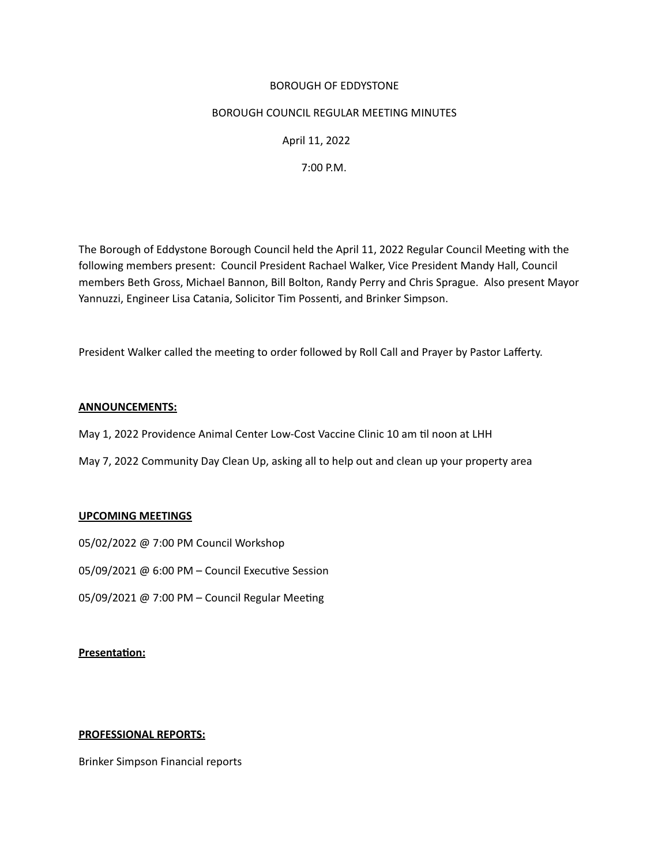### BOROUGH OF EDDYSTONE

### BOROUGH COUNCIL REGULAR MEETING MINUTES

# April 11, 2022

 7:00 P.M.

The Borough of Eddystone Borough Council held the April 11, 2022 Regular Council Meetng with the following members present: Council President Rachael Walker, Vice President Mandy Hall, Council members Beth Gross, Michael Bannon, Bill Bolton, Randy Perry and Chris Sprague. Also present Mayor Yannuzzi, Engineer Lisa Catania, Solicitor Tim Possent, and Brinker Simpson. 

President Walker called the meetng to order followed by Roll Call and Prayer by Pastor Lafferty. 

# **ANNOUNCEMENTS:**

- May 1, 2022 Providence Animal Center Low-Cost Vaccine Clinic 10 am til noon at LHH
- May 7, 2022 Community Day Clean Up, asking all to help out and clean up your property area

# **UPCOMING MEETINGS**

- 05/02/2022 @ 7:00 PM Council Workshop
- 05/09/2021 @ 6:00 PM Council Executive Session
- 05/09/2021 @ 7:00 PM Council Regular Meeting

# **Presentaton:**

#### **PROFESSIONAL REPORTS:**

Brinker Simpson Financial reports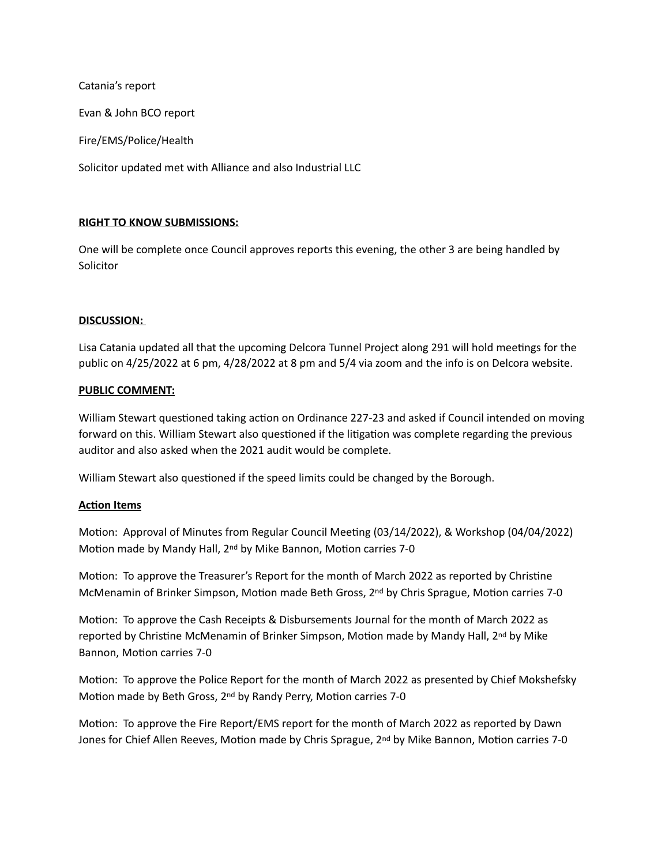Catania's report

Evan & John BCO report

Fire/EMS/Police/Health

Solicitor updated met with Alliance and also Industrial LLC

# **RIGHT TO KNOW SUBMISSIONS:**

One will be complete once Council approves reports this evening, the other 3 are being handled by Solicitor

### **DISCUSSION:**

Lisa Catania updated all that the upcoming Delcora Tunnel Project along 291 will hold meetngs for the public on 4/25/2022 at 6 pm, 4/28/2022 at 8 pm and 5/4 via zoom and the info is on Delcora website.

### **PUBLIC COMMENT:**

William Stewart questioned taking action on Ordinance 227-23 and asked if Council intended on moving forward on this. William Stewart also questioned if the litigation was complete regarding the previous auditor and also asked when the 2021 audit would be complete.

William Stewart also questioned if the speed limits could be changed by the Borough.

#### **Acton Items**

Motion: Approval of Minutes from Regular Council Meeting (03/14/2022), & Workshop (04/04/2022) Motion made by Mandy Hall, 2<sup>nd</sup> by Mike Bannon, Motion carries 7-0

Motion: To approve the Treasurer's Report for the month of March 2022 as reported by Christine McMenamin of Brinker Simpson, Motion made Beth Gross, 2<sup>nd</sup> by Chris Sprague, Motion carries 7-0

Motion: To approve the Cash Receipts & Disbursements Journal for the month of March 2022 as reported by Christine McMenamin of Brinker Simpson, Motion made by Mandy Hall, 2<sup>nd</sup> by Mike Bannon, Motion carries 7-0

Motion: To approve the Police Report for the month of March 2022 as presented by Chief Mokshefsky Motion made by Beth Gross, 2<sup>nd</sup> by Randy Perry, Motion carries 7-0

Motion: To approve the Fire Report/EMS report for the month of March 2022 as reported by Dawn Jones for Chief Allen Reeves, Motion made by Chris Sprague, 2<sup>nd</sup> by Mike Bannon, Motion carries 7-0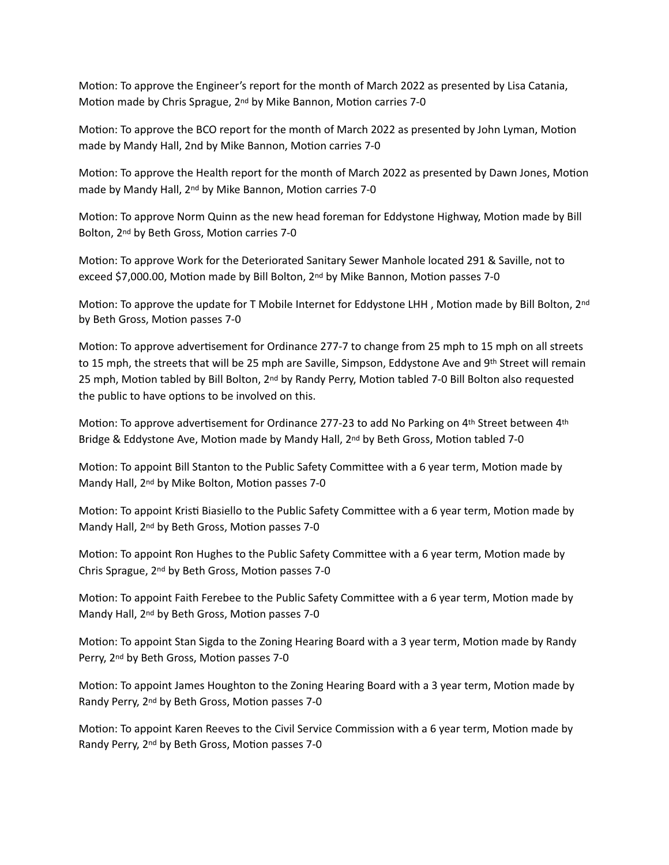Motion: To approve the Engineer's report for the month of March 2022 as presented by Lisa Catania, Motion made by Chris Sprague, 2<sup>nd</sup> by Mike Bannon, Motion carries 7-0

Motion: To approve the BCO report for the month of March 2022 as presented by John Lyman, Motion made by Mandy Hall, 2nd by Mike Bannon, Motion carries 7-0

Motion: To approve the Health report for the month of March 2022 as presented by Dawn Jones, Motion made by Mandy Hall, 2<sup>nd</sup> by Mike Bannon, Motion carries 7-0

Motion: To approve Norm Quinn as the new head foreman for Eddystone Highway, Motion made by Bill Bolton, 2<sup>nd</sup> by Beth Gross, Motion carries 7-0

Motion: To approve Work for the Deteriorated Sanitary Sewer Manhole located 291 & Saville, not to exceed \$7,000.00, Motion made by Bill Bolton, 2<sup>nd</sup> by Mike Bannon, Motion passes 7-0

Motion: To approve the update for T Mobile Internet for Eddystone LHH, Motion made by Bill Bolton, 2nd by Beth Gross, Motion passes 7-0

Motion: To approve advertisement for Ordinance 277-7 to change from 25 mph to 15 mph on all streets to 15 mph, the streets that will be 25 mph are Saville, Simpson, Eddystone Ave and 9th Street will remain 25 mph, Motion tabled by Bill Bolton, 2<sup>nd</sup> by Randy Perry, Motion tabled 7-0 Bill Bolton also requested the public to have options to be involved on this.

Motion: To approve advertisement for Ordinance 277-23 to add No Parking on  $4<sup>th</sup>$  Street between  $4<sup>th</sup>$ Bridge & Eddystone Ave, Motion made by Mandy Hall, 2<sup>nd</sup> by Beth Gross, Motion tabled 7-0

Motion: To appoint Bill Stanton to the Public Safety Committee with a 6 year term, Motion made by Mandy Hall, 2<sup>nd</sup> by Mike Bolton, Motion passes 7-0

Motion: To appoint Kristi Biasiello to the Public Safety Committee with a 6 year term, Motion made by Mandy Hall, 2<sup>nd</sup> by Beth Gross, Motion passes 7-0

Motion: To appoint Ron Hughes to the Public Safety Committee with a 6 year term, Motion made by Chris Sprague, 2<sup>nd</sup> by Beth Gross, Motion passes 7-0

Motion: To appoint Faith Ferebee to the Public Safety Committee with a 6 year term, Motion made by Mandy Hall, 2<sup>nd</sup> by Beth Gross, Motion passes 7-0

Motion: To appoint Stan Sigda to the Zoning Hearing Board with a 3 year term, Motion made by Randy Perry, 2<sup>nd</sup> by Beth Gross, Motion passes 7-0

Motion: To appoint James Houghton to the Zoning Hearing Board with a 3 year term, Motion made by Randy Perry, 2<sup>nd</sup> by Beth Gross, Motion passes 7-0

Motion: To appoint Karen Reeves to the Civil Service Commission with a 6 year term, Motion made by Randy Perry, 2<sup>nd</sup> by Beth Gross, Motion passes 7-0